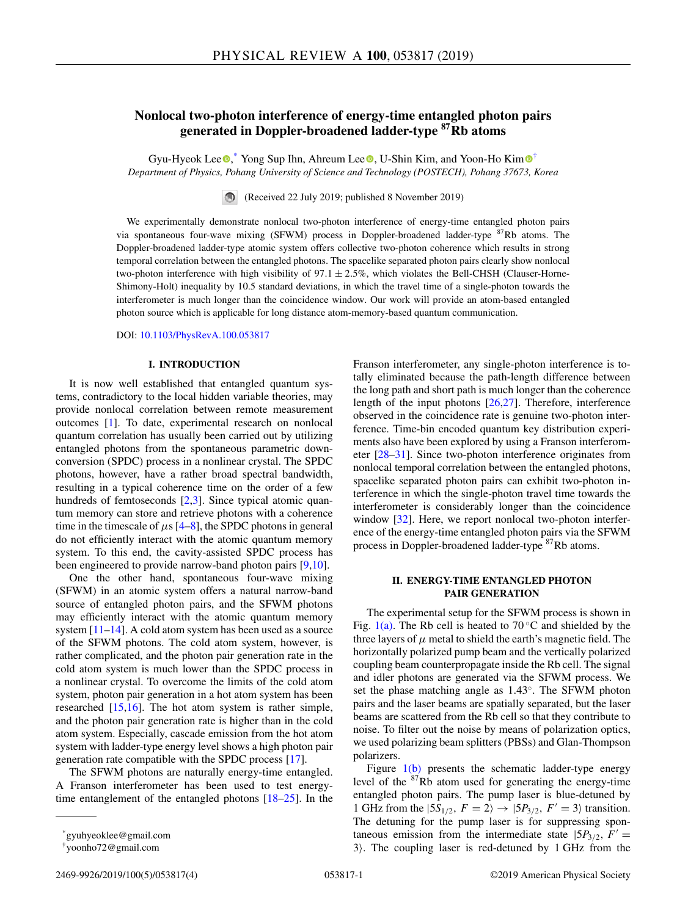# **Nonlocal two-photon interference of energy-time entangled photon pairs generated in Doppler-broadened ladder-type 87Rb atoms**

Gyu-Hyeok Lee <sup>®</sup>[,](https://orcid.org/0000-0002-1437-1086)\* Yong Sup Ihn, Ahreu[m](https://orcid.org/0000-0002-1424-3359) Lee <sup>®</sup>, U-Shin Kim, and Yoon-Ho Kim <sup>®†</sup> *Department of Physics, Pohang University of Science and Technology (POSTECH), Pohang 37673, Korea*

(Received 22 July 2019; published 8 November 2019)

We experimentally demonstrate nonlocal two-photon interference of energy-time entangled photon pairs via spontaneous four-wave mixing (SFWM) process in Doppler-broadened ladder-type <sup>87</sup>Rb atoms. The Doppler-broadened ladder-type atomic system offers collective two-photon coherence which results in strong temporal correlation between the entangled photons. The spacelike separated photon pairs clearly show nonlocal two-photon interference with high visibility of  $97.1 \pm 2.5\%$ , which violates the Bell-CHSH (Clauser-Horne-Shimony-Holt) inequality by 10.5 standard deviations, in which the travel time of a single-photon towards the interferometer is much longer than the coincidence window. Our work will provide an atom-based entangled photon source which is applicable for long distance atom-memory-based quantum communication.

DOI: [10.1103/PhysRevA.100.053817](https://doi.org/10.1103/PhysRevA.100.053817)

## **I. INTRODUCTION**

It is now well established that entangled quantum systems, contradictory to the local hidden variable theories, may provide nonlocal correlation between remote measurement outcomes [\[1\]](#page-3-0). To date, experimental research on nonlocal quantum correlation has usually been carried out by utilizing entangled photons from the spontaneous parametric downconversion (SPDC) process in a nonlinear crystal. The SPDC photons, however, have a rather broad spectral bandwidth, resulting in a typical coherence time on the order of a few hundreds of femtoseconds [\[2,3\]](#page-3-0). Since typical atomic quantum memory can store and retrieve photons with a coherence time in the timescale of  $\mu$ s [\[4–8\]](#page-3-0), the SPDC photons in general do not efficiently interact with the atomic quantum memory system. To this end, the cavity-assisted SPDC process has been engineered to provide narrow-band photon pairs [\[9,10\]](#page-3-0).

One the other hand, spontaneous four-wave mixing (SFWM) in an atomic system offers a natural narrow-band source of entangled photon pairs, and the SFWM photons may efficiently interact with the atomic quantum memory system [\[11–14\]](#page-3-0). A cold atom system has been used as a source of the SFWM photons. The cold atom system, however, is rather complicated, and the photon pair generation rate in the cold atom system is much lower than the SPDC process in a nonlinear crystal. To overcome the limits of the cold atom system, photon pair generation in a hot atom system has been researched [\[15,16\]](#page-3-0). The hot atom system is rather simple, and the photon pair generation rate is higher than in the cold atom system. Especially, cascade emission from the hot atom system with ladder-type energy level shows a high photon pair generation rate compatible with the SPDC process [\[17\]](#page-3-0).

The SFWM photons are naturally energy-time entangled. A Franson interferometer has been used to test energytime entanglement of the entangled photons [\[18–25\]](#page-3-0). In the Franson interferometer, any single-photon interference is totally eliminated because the path-length difference between the long path and short path is much longer than the coherence length of the input photons [\[26,27\]](#page-3-0). Therefore, interference observed in the coincidence rate is genuine two-photon interference. Time-bin encoded quantum key distribution experiments also have been explored by using a Franson interferometer [\[28–31\]](#page-3-0). Since two-photon interference originates from nonlocal temporal correlation between the entangled photons, spacelike separated photon pairs can exhibit two-photon interference in which the single-photon travel time towards the interferometer is considerably longer than the coincidence window [\[32\]](#page-3-0). Here, we report nonlocal two-photon interference of the energy-time entangled photon pairs via the SFWM process in Doppler-broadened ladder-type 87Rb atoms.

# **II. ENERGY-TIME ENTANGLED PHOTON PAIR GENERATION**

The experimental setup for the SFWM process is shown in Fig. [1\(a\).](#page-1-0) The Rb cell is heated to  $70^{\circ}$ C and shielded by the three layers of  $\mu$  metal to shield the earth's magnetic field. The horizontally polarized pump beam and the vertically polarized coupling beam counterpropagate inside the Rb cell. The signal and idler photons are generated via the SFWM process. We set the phase matching angle as 1.43◦. The SFWM photon pairs and the laser beams are spatially separated, but the laser beams are scattered from the Rb cell so that they contribute to noise. To filter out the noise by means of polarization optics, we used polarizing beam splitters (PBSs) and Glan-Thompson polarizers.

Figure  $1(b)$  presents the schematic ladder-type energy level of the  $87Rb$  atom used for generating the energy-time entangled photon pairs. The pump laser is blue-detuned by 1 GHz from the  $|5S_{1/2}, F = 2\rangle \rightarrow |5P_{3/2}, F' = 3\rangle$  transition. The detuning for the pump laser is for suppressing spontaneous emission from the intermediate state  $|5P_{3/2}, F'| =$  $3$ ). The coupling laser is red-detuned by 1 GHz from the

<sup>\*</sup>gyuhyeoklee@gmail.com

<sup>†</sup>yoonho72@gmail.com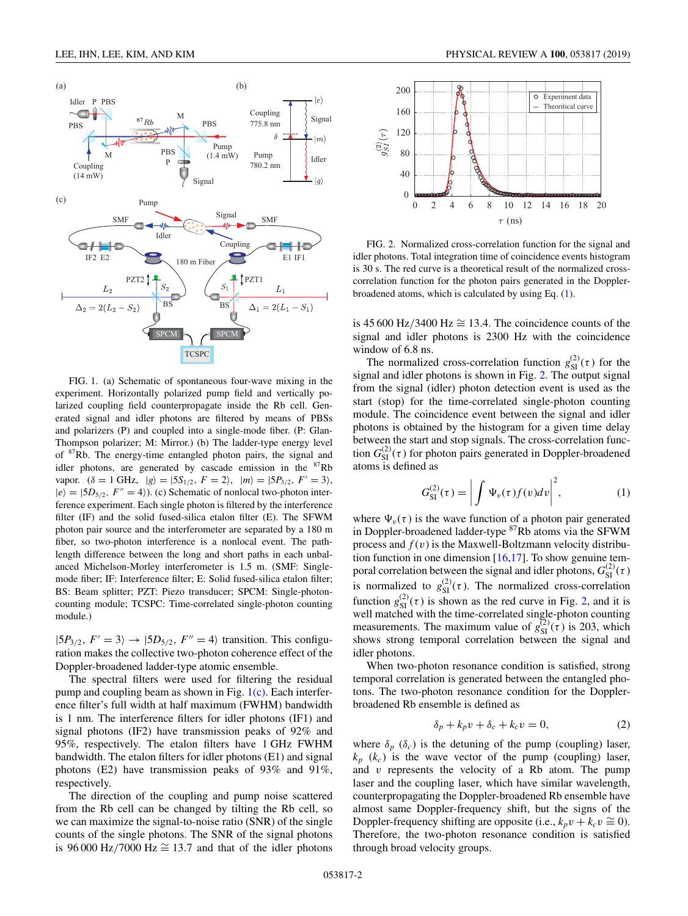<span id="page-1-0"></span>

FIG. 1. (a) Schematic of spontaneous four-wave mixing in the experiment. Horizontally polarized pump field and vertically polarized coupling field counterpropagate inside the Rb cell. Generated signal and idler photons are filtered by means of PBSs and polarizers (P) and coupled into a single-mode fiber. (P: Glan-Thompson polarizer; M: Mirror.) (b) The ladder-type energy level of <sup>87</sup>Rb. The energy-time entangled photon pairs, the signal and idler photons, are generated by cascade emission in the  ${}^{87}Rb$ vapor.  $(\delta = 1 \text{ GHz}, |g\rangle = |5S_{1/2}, F = 2\rangle, |m\rangle = |5P_{3/2}, F' = 3\rangle,$  $|e\rangle=|5D_{5/2}, F''=4\rangle$ ). (c) Schematic of nonlocal two-photon interference experiment. Each single photon is filtered by the interference filter (IF) and the solid fused-silica etalon filter (E). The SFWM photon pair source and the interferometer are separated by a 180 m fiber, so two-photon interference is a nonlocal event. The pathlength difference between the long and short paths in each unbalanced Michelson-Morley interferometer is 1.5 m. (SMF: Singlemode fiber; IF: Interference filter; E: Solid fused-silica etalon filter; BS: Beam splitter; PZT: Piezo transducer; SPCM: Single-photoncounting module; TCSPC: Time-correlated single-photon counting module.)

 $|5P_{3/2}, F' = 3\rangle \rightarrow |5D_{5/2}, F'' = 4\rangle$  transition. This configuration makes the collective two-photon coherence effect of the Doppler-broadened ladder-type atomic ensemble.

The spectral filters were used for filtering the residual pump and coupling beam as shown in Fig.  $1(c)$ . Each interference filter's full width at half maximum (FWHM) bandwidth is 1 nm. The interference filters for idler photons (IF1) and signal photons (IF2) have transmission peaks of 92% and 95%, respectively. The etalon filters have 1 GHz FWHM bandwidth. The etalon filters for idler photons (E1) and signal photons (E2) have transmission peaks of 93% and 91%, respectively.

The direction of the coupling and pump noise scattered from the Rb cell can be changed by tilting the Rb cell, so we can maximize the signal-to-noise ratio (SNR) of the single counts of the single photons. The SNR of the signal photons is 96 000 Hz/7000 Hz  $\cong$  13.7 and that of the idler photons



FIG. 2. Normalized cross-correlation function for the signal and idler photons. Total integration time of coincidence events histogram is 30 s. The red curve is a theoretical result of the normalized crosscorrelation function for the photon pairs generated in the Dopplerbroadened atoms, which is calculated by using Eq. (1).

is 45 600 Hz/3400 Hz  $\cong$  13.4. The coincidence counts of the signal and idler photons is 2300 Hz with the coincidence window of 6.8 ns.

The normalized cross-correlation function  $g_{\text{SI}}^{(2)}(\tau)$  for the signal and idler photons is shown in Fig. 2. The output signal from the signal (idler) photon detection event is used as the start (stop) for the time-correlated single-photon counting module. The coincidence event between the signal and idler photons is obtained by the histogram for a given time delay between the start and stop signals. The cross-correlation function  $G_{\text{SI}}^{(2)}(\tau)$  for photon pairs generated in Doppler-broadened atoms is defined as

$$
G_{\rm SI}^{(2)}(\tau) = \left| \int \Psi_v(\tau) f(v) dv \right|^2, \tag{1}
$$

where  $\Psi_{\nu}(\tau)$  is the wave function of a photon pair generated in Doppler-broadened ladder-type <sup>87</sup>Rb atoms via the SFWM process and  $f(v)$  is the Maxwell-Boltzmann velocity distribution function in one dimension  $[16,17]$ . To show genuine temporal correlation between the signal and idler photons,  $G_{\text{SI}}^{(2)}(\tau)$ is normalized to  $g_{\text{SI}}^{(2)}(\tau)$ . The normalized cross-correlation function  $g_{SI}^{(2)}(\tau)$  is shown as the red curve in Fig. 2, and it is well matched with the time-correlated single-photon counting measurements. The maximum value of  $g_{\text{SI}}^{(2)}(\tau)$  is 203, which shows strong temporal correlation between the signal and idler photons.

When two-photon resonance condition is satisfied, strong temporal correlation is generated between the entangled photons. The two-photon resonance condition for the Dopplerbroadened Rb ensemble is defined as

$$
\delta_p + k_p v + \delta_c + k_c v = 0,\tag{2}
$$

where  $\delta_p$  ( $\delta_c$ ) is the detuning of the pump (coupling) laser,  $k_p$  ( $k_c$ ) is the wave vector of the pump (coupling) laser, and *v* represents the velocity of a Rb atom. The pump laser and the coupling laser, which have similar wavelength, counterpropagating the Doppler-broadened Rb ensemble have almost same Doppler-frequency shift, but the signs of the Doppler-frequency shifting are opposite (i.e.,  $k_p v + k_c v \approx 0$ ). Therefore, the two-photon resonance condition is satisfied through broad velocity groups.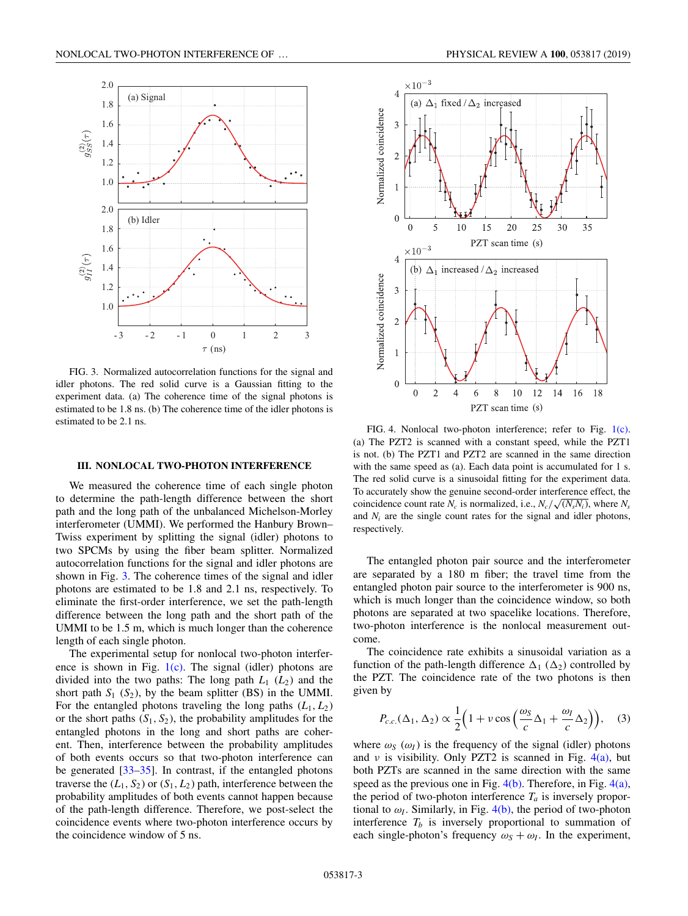<span id="page-2-0"></span>

FIG. 3. Normalized autocorrelation functions for the signal and idler photons. The red solid curve is a Gaussian fitting to the experiment data. (a) The coherence time of the signal photons is estimated to be 1.8 ns. (b) The coherence time of the idler photons is estimated to be 2.1 ns.

#### **III. NONLOCAL TWO-PHOTON INTERFERENCE**

We measured the coherence time of each single photon to determine the path-length difference between the short path and the long path of the unbalanced Michelson-Morley interferometer (UMMI). We performed the Hanbury Brown– Twiss experiment by splitting the signal (idler) photons to two SPCMs by using the fiber beam splitter. Normalized autocorrelation functions for the signal and idler photons are shown in Fig. 3. The coherence times of the signal and idler photons are estimated to be 1.8 and 2.1 ns, respectively. To eliminate the first-order interference, we set the path-length difference between the long path and the short path of the UMMI to be 1.5 m, which is much longer than the coherence length of each single photon.

The experimental setup for nonlocal two-photon interference is shown in Fig.  $1(c)$ . The signal (idler) photons are divided into the two paths: The long path  $L_1$  ( $L_2$ ) and the short path  $S_1$  ( $S_2$ ), by the beam splitter (BS) in the UMMI. For the entangled photons traveling the long paths  $(L_1, L_2)$ or the short paths  $(S_1, S_2)$ , the probability amplitudes for the entangled photons in the long and short paths are coherent. Then, interference between the probability amplitudes of both events occurs so that two-photon interference can be generated [\[33–35\]](#page-3-0). In contrast, if the entangled photons traverse the  $(L_1, S_2)$  or  $(S_1, L_2)$  path, interference between the probability amplitudes of both events cannot happen because of the path-length difference. Therefore, we post-select the coincidence events where two-photon interference occurs by the coincidence window of 5 ns.



FIG. 4. Nonlocal two-photon interference; refer to Fig. [1\(c\).](#page-1-0) (a) The PZT2 is scanned with a constant speed, while the PZT1 is not. (b) The PZT1 and PZT2 are scanned in the same direction with the same speed as (a). Each data point is accumulated for 1 s. The red solid curve is a sinusoidal fitting for the experiment data. To accurately show the genuine second-order interference effect, the coincidence count rate  $N_c$  is normalized, i.e.,  $N_c/\sqrt{(N_s N_i)}$ , where  $N_s$ and *Ni* are the single count rates for the signal and idler photons, respectively.

The entangled photon pair source and the interferometer are separated by a 180 m fiber; the travel time from the entangled photon pair source to the interferometer is 900 ns, which is much longer than the coincidence window, so both photons are separated at two spacelike locations. Therefore, two-photon interference is the nonlocal measurement outcome.

The coincidence rate exhibits a sinusoidal variation as a function of the path-length difference  $\Delta_1 (\Delta_2)$  controlled by the PZT. The coincidence rate of the two photons is then given by

$$
P_{c.c.}(\Delta_1, \Delta_2) \propto \frac{1}{2} \Big( 1 + v \cos \Big( \frac{\omega_S}{c} \Delta_1 + \frac{\omega_I}{c} \Delta_2 \Big) \Big), \quad (3)
$$

where  $\omega_s$  ( $\omega_l$ ) is the frequency of the signal (idler) photons and v is visibility. Only PZT2 is scanned in Fig.  $4(a)$ , but both PZTs are scanned in the same direction with the same speed as the previous one in Fig.  $4(b)$ . Therefore, in Fig.  $4(a)$ , the period of two-photon interference  $T_a$  is inversely proportional to  $\omega_I$ . Similarly, in Fig.  $4(b)$ , the period of two-photon interference  $T_b$  is inversely proportional to summation of each single-photon's frequency  $\omega_s + \omega_l$ . In the experiment,